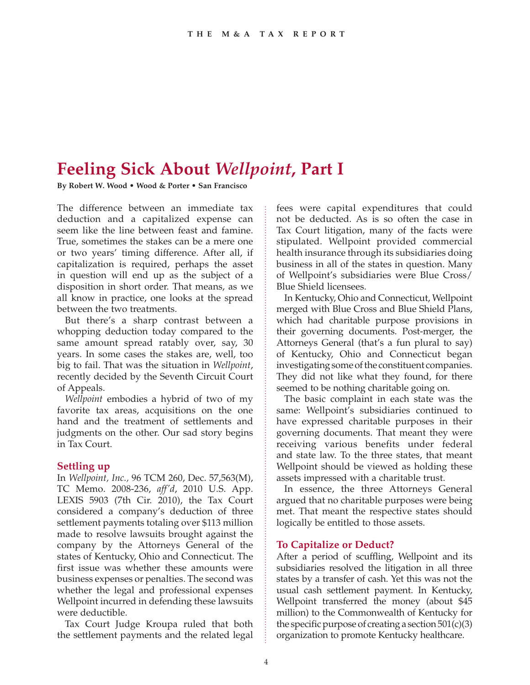# **Feeling Sick About** *Wellpoint***, Part I**

**By Robert W. Wood • Wood & Porter • San Francisco**

The difference between an immediate tax deduction and a capitalized expense can seem like the line between feast and famine. True, sometimes the stakes can be a mere one or two years' timing difference. After all, if capitalization is required, perhaps the asset in question will end up as the subject of a disposition in short order. That means, as we all know in practice, one looks at the spread between the two treatments.

But there's a sharp contrast between a whopping deduction today compared to the same amount spread ratably over, say, 30 years. In some cases the stakes are, well, too big to fail. That was the situation in *Wellpoint*, recently decided by the Seventh Circuit Court of Appeals.

*Wellpoint* embodies a hybrid of two of my favorite tax areas, acquisitions on the one hand and the treatment of settlements and judgments on the other. Our sad story begins in Tax Court.

### **Settling up**

In *Wellpoint, Inc.,* 96 TCM 260, Dec. 57,563(M), TC Memo. 2008-236, *aff'd*, 2010 U.S. App. LEXIS 5903 (7th Cir. 2010), the Tax Court considered a company's deduction of three settlement payments totaling over \$113 million made to resolve lawsuits brought against the company by the Attorneys General of the states of Kentucky, Ohio and Connecticut. The first issue was whether these amounts were business expenses or penalties. The second was whether the legal and professional expenses Wellpoint incurred in defending these lawsuits were deductible.

Tax Court Judge Kroupa ruled that both the settlement payments and the related legal

fees were capital expenditures that could not be deducted. As is so often the case in Tax Court litigation, many of the facts were stipulated. Wellpoint provided commercial health insurance through its subsidiaries doing business in all of the states in question. Many of Wellpoint's subsidiaries were Blue Cross/ Blue Shield licensees.

In Kentucky, Ohio and Connecticut, Wellpoint merged with Blue Cross and Blue Shield Plans, which had charitable purpose provisions in their governing documents. Post-merger, the Attorneys General (that's a fun plural to say) of Kentucky, Ohio and Connecticut began investigating some of the constituent companies. They did not like what they found, for there seemed to be nothing charitable going on.

The basic complaint in each state was the same: Wellpoint's subsidiaries continued to have expressed charitable purposes in their governing documents. That meant they were receiving various benefits under federal and state law. To the three states, that meant Wellpoint should be viewed as holding these assets impressed with a charitable trust.

In essence, the three Attorneys General argued that no charitable purposes were being met. That meant the respective states should logically be entitled to those assets.

## **To Capitalize or Deduct?**

After a period of scuffling, Wellpoint and its subsidiaries resolved the litigation in all three states by a transfer of cash. Yet this was not the usual cash settlement payment. In Kentucky, Wellpoint transferred the money (about \$45 million) to the Commonwealth of Kentucky for the specific purpose of creating a section  $501(c)(3)$ organization to promote Kentucky healthcare.